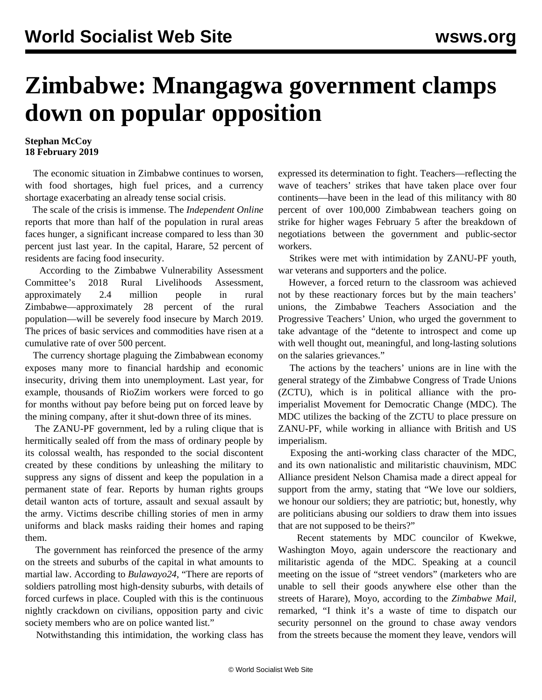## **Zimbabwe: Mnangagwa government clamps down on popular opposition**

## **Stephan McCoy 18 February 2019**

 The economic situation in Zimbabwe continues to worsen, with food shortages, high fuel prices, and a currency shortage exacerbating an already tense social crisis.

 The scale of the crisis is immense. The *Independent Online* reports that more than half of the population in rural areas faces hunger, a significant increase compared to less than 30 percent just last year. In the capital, Harare, 52 percent of residents are facing food insecurity.

 According to the Zimbabwe Vulnerability Assessment Committee's 2018 Rural Livelihoods Assessment, approximately 2.4 million people in rural Zimbabwe—approximately 28 percent of the rural population—will be severely food insecure by March 2019. The prices of basic services and commodities have risen at a cumulative rate of over 500 percent.

 The currency shortage plaguing the Zimbabwean economy exposes many more to financial hardship and economic insecurity, driving them into unemployment. Last year, for example, thousands of RioZim workers were forced to go for months without pay before being put on forced leave by the mining company, after it shut-down three of its mines.

 The ZANU-PF government, led by a ruling clique that is hermitically sealed off from the mass of ordinary people by its colossal wealth, has responded to the social discontent created by these conditions by unleashing the military to suppress any signs of dissent and keep the population in a permanent state of fear. Reports by human rights groups detail wanton acts of torture, assault and sexual assault by the army. Victims describe chilling stories of men in army uniforms and black masks raiding their homes and raping them.

 The government has reinforced the presence of the army on the streets and suburbs of the capital in what amounts to martial law. According to *Bulawayo24*, "There are reports of soldiers patrolling most high-density suburbs, with details of forced curfews in place. Coupled with this is the continuous nightly crackdown on civilians, opposition party and civic society members who are on police wanted list."

Notwithstanding this intimidation, the working class has

expressed its determination to fight. Teachers—reflecting the wave of teachers' strikes that have taken place over four continents—have been in the lead of this militancy with 80 percent of over 100,000 Zimbabwean teachers going on strike for higher wages February 5 after the breakdown of negotiations between the government and public-sector workers.

 Strikes were met with intimidation by ZANU-PF youth, war veterans and supporters and the police.

 However, a forced return to the classroom was achieved not by these reactionary forces but by the main teachers' unions, the Zimbabwe Teachers Association and the Progressive Teachers' Union, who urged the government to take advantage of the "detente to introspect and come up with well thought out, meaningful, and long-lasting solutions on the salaries grievances."

 The actions by the teachers' unions are in line with the general strategy of the Zimbabwe Congress of Trade Unions (ZCTU), which is in political alliance with the proimperialist Movement for Democratic Change (MDC). The MDC utilizes the backing of the ZCTU to place pressure on ZANU-PF, while working in alliance with British and US imperialism.

 Exposing the anti-working class character of the MDC, and its own nationalistic and militaristic chauvinism, MDC Alliance president Nelson Chamisa made a direct appeal for support from the army, stating that "We love our soldiers, we honour our soldiers; they are patriotic; but, honestly, why are politicians abusing our soldiers to draw them into issues that are not supposed to be theirs?"

 Recent statements by MDC councilor of Kwekwe, Washington Moyo, again underscore the reactionary and militaristic agenda of the MDC. Speaking at a council meeting on the issue of "street vendors" (marketers who are unable to sell their goods anywhere else other than the streets of Harare), Moyo, according to the *Zimbabwe Mail*, remarked, "I think it's a waste of time to dispatch our security personnel on the ground to chase away vendors from the streets because the moment they leave, vendors will